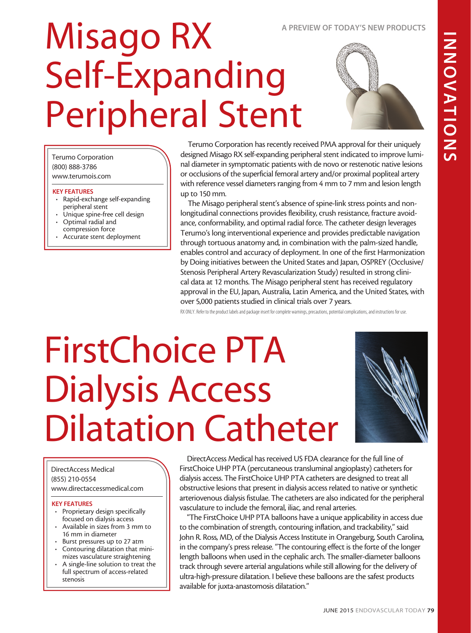# INDIATIONS INNOVATIONS

### A PREVIEW OF TODAY'S NEW PRODUCTS

### Misago RX Self-Expanding Peripheral Stent

Terumo Corporation has recently received PMA approval for their uniquely designed Misago RX self-expanding peripheral stent indicated to improve luminal diameter in symptomatic patients with de novo or restenotic native lesions or occlusions of the superficial femoral artery and/or proximal popliteal artery with reference vessel diameters ranging from 4 mm to 7 mm and lesion length up to 150 mm.

The Misago peripheral stent's absence of spine-link stress points and nonlongitudinal connections provides flexibility, crush resistance, fracture avoidance, conformability, and optimal radial force. The catheter design leverages Terumo's long interventional experience and provides predictable navigation through tortuous anatomy and, in combination with the palm-sized handle, enables control and accuracy of deployment. In one of the first Harmonization by Doing initiatives between the United States and Japan, OSPREY (Occlusive/ Stenosis Peripheral Artery Revascularization Study) resulted in strong clinical data at 12 months. The Misago peripheral stent has received regulatory approval in the EU, Japan, Australia, Latin America, and the United States, with over 5,000 patients studied in clinical trials over 7 years.

RX ONLY. Refer to the product labels and package insert for complete warnings, precautions, potential complications, and instructions for use.

### FirstChoice PTA Dialysis Access Dilatation Catheter

DirectAccess Medical (855) 210-0554 www.directaccessmedical.com

### KEY FEATURES

KEY FEATURES

peripheral stent

Terumo Corporation (800) 888-3786 www.terumois.com

• Optimal radial and compression force • Accurate stent deployment

• Rapid-exchange self-expanding

Unique spine-free cell design

- Proprietary design specifically focused on dialysis access
- Available in sizes from 3 mm to 16 mm in diameter
- Burst pressures up to 27 atm • Contouring dilatation that mini-
- mizes vasculature straightening • A single-line solution to treat the
- full spectrum of access-related stenosis

DirectAccess Medical has received US FDA clearance for the full line of FirstChoice UHP PTA (percutaneous transluminal angioplasty) catheters for dialysis access. The FirstChoice UHP PTA catheters are designed to treat all obstructive lesions that present in dialysis access related to native or synthetic arteriovenous dialysis fistulae. The catheters are also indicated for the peripheral vasculature to include the femoral, iliac, and renal arteries.

"The FirstChoice UHP PTA balloons have a unique applicability in access due to the combination of strength, contouring inflation, and trackability," said John R. Ross, MD, of the Dialysis Access Institute in Orangeburg, South Carolina, in the company's press release. "The contouring effect is the forte of the longer length balloons when used in the cephalic arch. The smaller-diameter balloons track through severe arterial angulations while still allowing for the delivery of ultra-high-pressure dilatation. I believe these balloons are the safest products available for juxta-anastomosis dilatation."